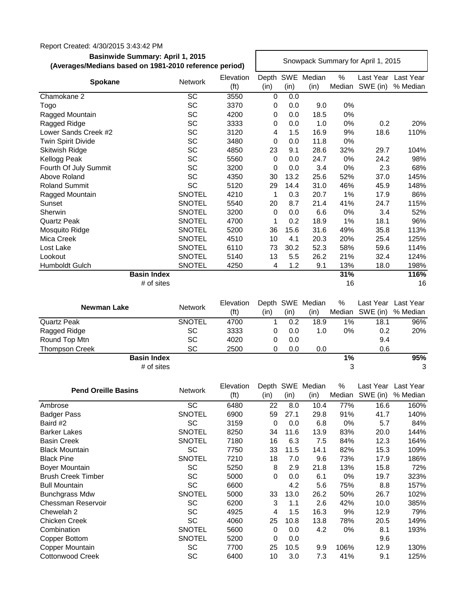## Report Created: 4/30/2015 3:43:42 PM

## **Basinwide Summary: April 1, 2015 Easinwide Summary: April 1, 2015**<br>**(Averages/Medians based on 1981-2010 reference period)** Snowpack Summary for April 1, 2015

|                                             |                 | Elevation         |           |             | Depth SWE Median | $\%$        |                     | Last Year Last Year |
|---------------------------------------------|-----------------|-------------------|-----------|-------------|------------------|-------------|---------------------|---------------------|
| Spokane                                     | <b>Network</b>  | (f <sup>t</sup> ) | (in)      | (in)        | (in)             |             | Median SWE (in)     | % Median            |
| Chamokane 2                                 | SC              | 3550              | $\pmb{0}$ | 0.0         |                  |             |                     |                     |
| Togo                                        | <b>SC</b>       | 3370              | 0         | 0.0         | 9.0              | 0%          |                     |                     |
| Ragged Mountain                             | SC              | 4200              | 0         | 0.0         | 18.5             | 0%          |                     |                     |
| Ragged Ridge                                | SC              | 3333              | 0         | 0.0         | 1.0              | 0%          | 0.2                 | 20%                 |
| Lower Sands Creek #2                        | SC              | 3120              | 4         | 1.5         | 16.9             | 9%          | 18.6                | 110%                |
| <b>Twin Spirit Divide</b>                   | SC              | 3480              | 0         | 0.0         | 11.8             | 0%          |                     |                     |
| <b>Skitwish Ridge</b>                       | SC              | 4850              | 23        | 9.1         | 28.6             | 32%         | 29.7                | 104%                |
| Kellogg Peak                                | SC              | 5560              | 0         | 0.0         | 24.7             | 0%          | 24.2                | 98%                 |
| Fourth Of July Summit                       | <b>SC</b>       | 3200              | 0         | 0.0         | 3.4              | 0%          | 2.3                 | 68%                 |
| Above Roland                                | SC              | 4350              | 30        | 13.2        | 25.6             | 52%         | 37.0                | 145%                |
| <b>Roland Summit</b>                        | SC              | 5120              | 29        | 14.4        | 31.0             | 46%         | 45.9                | 148%                |
| Ragged Mountain                             | <b>SNOTEL</b>   | 4210              | 1         | 0.3         | 20.7             | 1%          | 17.9                | 86%                 |
| Sunset                                      | <b>SNOTEL</b>   | 5540              | 20        | 8.7         | 21.4             | 41%         | 24.7                | 115%                |
| Sherwin                                     | <b>SNOTEL</b>   | 3200              | 0         | 0.0         | 6.6              | 0%          | 3.4                 | 52%                 |
| <b>Quartz Peak</b>                          | <b>SNOTEL</b>   | 4700              | 1         | 0.2         | 18.9             | 1%          | 18.1                | 96%                 |
| Mosquito Ridge                              | <b>SNOTEL</b>   | 5200              | 36        | 15.6        | 31.6             | 49%         | 35.8                | 113%                |
| Mica Creek                                  | <b>SNOTEL</b>   | 4510              | 10        | 4.1         | 20.3             | 20%         | 25.4                | 125%                |
| Lost Lake                                   | <b>SNOTEL</b>   | 6110              | 73        | 30.2        | 52.3             | 58%         | 59.6                | 114%                |
| Lookout                                     | <b>SNOTEL</b>   | 5140              | 13        | 5.5         | 26.2             | 21%         | 32.4                | 124%                |
| Humboldt Gulch                              | <b>SNOTEL</b>   | 4250              | 4         | 1.2         | 9.1              | 13%         | 18.0                | 198%                |
| <b>Basin Index</b>                          |                 |                   |           |             |                  | 31%         |                     | 116%                |
| # of sites                                  |                 |                   |           |             |                  | 16          |                     | 16                  |
|                                             |                 |                   |           |             |                  |             |                     |                     |
|                                             |                 | Elevation         |           |             | Depth SWE Median | $\%$        | Last Year Last Year |                     |
| <b>Newman Lake</b>                          | Network         | (f <sup>t</sup> ) | (in)      | (in)        | (in)             | Median      | SWE (in)            | % Median            |
| <b>Quartz Peak</b>                          | <b>SNOTEL</b>   | 4700              | 1         | 0.2         | 18.9             | 1%          | 18.1                | 96%                 |
| Ragged Ridge                                | SC              | 3333              | 0         | 0.0         | 1.0              | 0%          | 0.2                 | 20%                 |
| Round Top Mtn                               | SC              | 4020              | 0         | 0.0         |                  |             | 9.4                 |                     |
| <b>Thompson Creek</b>                       | SC              | 2500              | 0         | 0.0         | 0.0              |             | 0.6                 |                     |
| <b>Basin Index</b>                          |                 |                   |           |             |                  | 1%          |                     | 95%                 |
| # of sites                                  |                 |                   |           |             |                  | 3           |                     | 3                   |
|                                             |                 |                   |           |             |                  |             |                     |                     |
|                                             |                 | Elevation         |           |             | Depth SWE Median | %           | Last Year Last Year |                     |
| <b>Pend Oreille Basins</b>                  | <b>Network</b>  | (f <sup>t</sup> ) | (in)      | (in)        | (in)             |             | Median SWE (in)     | % Median            |
| Ambrose                                     | $\overline{SC}$ | 6480              | 22        | 8.0         | 10.4             | 77%         | 16.6                | 160%                |
|                                             | <b>SNOTEL</b>   | 6900              | 59        | 27.1        | 29.8             | 91%         | 41.7                | 140%                |
| <b>Badger Pass</b><br>Baird #2              | SC              | 3159              | $\pmb{0}$ | 0.0         | 6.8              | 0%          | 5.7                 | 84%                 |
| <b>Barker Lakes</b>                         | <b>SNOTEL</b>   | 8250              | 34        | 11.6        | 13.9             | 83%         | 20.0                | 144%                |
| <b>Basin Creek</b>                          | <b>SNOTEL</b>   | 7180              | 16        | 6.3         | 7.5              | 84%         | 12.3                | 164%                |
| <b>Black Mountain</b>                       | SC              | 7750              | 33        | 11.5        | 14.1             | 82%         | 15.3                | 109%                |
| <b>Black Pine</b>                           | <b>SNOTEL</b>   | 7210              | 18        | 7.0         | 9.6              | 73%         | 17.9                | 186%                |
| <b>Boyer Mountain</b>                       | SC              | 5250              | 8         | 2.9         | 21.8             | 13%         | 15.8                | 72%                 |
| <b>Brush Creek Timber</b>                   | SC              | 5000              | $\Omega$  | 0.0         | 6.1              | 0%          | 19.7                | 323%                |
| <b>Bull Mountain</b>                        | SC              | 6600              |           | 4.2         | 5.6              | 75%         | 8.8                 | 157%                |
|                                             | <b>SNOTEL</b>   |                   |           | 13.0        |                  |             |                     |                     |
| <b>Bunchgrass Mdw</b><br>Chessman Reservoir | SC              | 5000<br>6200      | 33<br>3   | 1.1         | 26.2<br>2.6      | 50%<br>42%  | 26.7<br>10.0        | 102%<br>385%        |
| Chewelah 2                                  | SC              | 4925              | 4         | 1.5         | 16.3             | 9%          | 12.9                | 79%                 |
| <b>Chicken Creek</b>                        | SC              | 4060              | 25        | 10.8        | 13.8             | 78%         | 20.5                | 149%                |
| Combination                                 |                 |                   |           |             |                  |             | 8.1                 | 193%                |
|                                             |                 |                   |           |             |                  |             |                     |                     |
|                                             | <b>SNOTEL</b>   | 5600              | 0         | 0.0         | 4.2              | 0%          |                     |                     |
| Copper Bottom                               | <b>SNOTEL</b>   | 5200              | 0         | 0.0         |                  |             | 9.6                 |                     |
| Copper Mountain<br><b>Cottonwood Creek</b>  | SC<br>SC        | 7700<br>6400      | 25<br>10  | 10.5<br>3.0 | 9.9<br>7.3       | 106%<br>41% | 12.9<br>9.1         | 130%<br>125%        |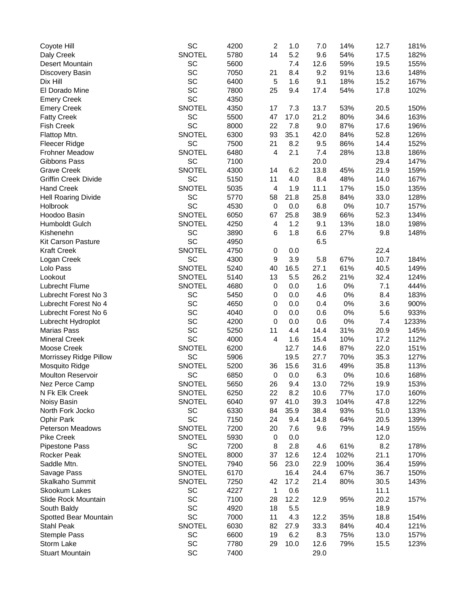| Coyote Hill                 | SC            | 4200 | $\overline{2}$ | 1.0  | 7.0  | 14%  | 12.7 | 181%  |
|-----------------------------|---------------|------|----------------|------|------|------|------|-------|
| Daly Creek                  | <b>SNOTEL</b> | 5780 | 14             | 5.2  | 9.6  | 54%  | 17.5 | 182%  |
| Desert Mountain             | SC            | 5600 |                | 7.4  | 12.6 | 59%  | 19.5 | 155%  |
| Discovery Basin             | SC            | 7050 | 21             | 8.4  | 9.2  | 91%  | 13.6 | 148%  |
| Dix Hill                    | SC            | 6400 | 5              | 1.6  | 9.1  | 18%  | 15.2 | 167%  |
| El Dorado Mine              | SC            | 7800 | 25             | 9.4  | 17.4 | 54%  | 17.8 | 102%  |
| <b>Emery Creek</b>          | SC            | 4350 |                |      |      |      |      |       |
| <b>Emery Creek</b>          | <b>SNOTEL</b> | 4350 | 17             | 7.3  | 13.7 | 53%  | 20.5 | 150%  |
| <b>Fatty Creek</b>          | SC            | 5500 | 47             | 17.0 | 21.2 | 80%  | 34.6 | 163%  |
| <b>Fish Creek</b>           | SC            | 8000 | 22             | 7.8  | 9.0  | 87%  | 17.6 | 196%  |
| Flattop Mtn.                | <b>SNOTEL</b> | 6300 | 93             | 35.1 | 42.0 | 84%  | 52.8 | 126%  |
| <b>Fleecer Ridge</b>        | SC            | 7500 | 21             | 8.2  | 9.5  | 86%  | 14.4 | 152%  |
| <b>Frohner Meadow</b>       | <b>SNOTEL</b> | 6480 | 4              | 2.1  | 7.4  | 28%  | 13.8 | 186%  |
| Gibbons Pass                | SC            | 7100 |                |      | 20.0 |      | 29.4 | 147%  |
| <b>Grave Creek</b>          | <b>SNOTEL</b> | 4300 | 14             | 6.2  | 13.8 | 45%  | 21.9 | 159%  |
| <b>Griffin Creek Divide</b> | SC            | 5150 | 11             | 4.0  | 8.4  | 48%  | 14.0 | 167%  |
| <b>Hand Creek</b>           | <b>SNOTEL</b> | 5035 | 4              | 1.9  | 11.1 | 17%  | 15.0 | 135%  |
| <b>Hell Roaring Divide</b>  | SC            | 5770 | 58             | 21.8 | 25.8 | 84%  | 33.0 | 128%  |
| Holbrook                    | SC            | 4530 | $\mathbf 0$    | 0.0  | 6.8  | 0%   | 10.7 | 157%  |
| Hoodoo Basin                | <b>SNOTEL</b> | 6050 | 67             | 25.8 | 38.9 | 66%  | 52.3 | 134%  |
| Humboldt Gulch              | <b>SNOTEL</b> | 4250 | 4              | 1.2  | 9.1  | 13%  | 18.0 | 198%  |
| Kishenehn                   | SC            | 3890 | 6              | 1.8  | 6.6  | 27%  | 9.8  | 148%  |
| Kit Carson Pasture          | SC            | 4950 |                |      | 6.5  |      |      |       |
| <b>Kraft Creek</b>          | <b>SNOTEL</b> | 4750 | 0              | 0.0  |      |      | 22.4 |       |
| Logan Creek                 | SC            | 4300 | 9              | 3.9  | 5.8  | 67%  | 10.7 | 184%  |
| Lolo Pass                   | <b>SNOTEL</b> | 5240 | 40             | 16.5 | 27.1 | 61%  | 40.5 | 149%  |
| Lookout                     | <b>SNOTEL</b> | 5140 | 13             | 5.5  | 26.2 | 21%  | 32.4 | 124%  |
| Lubrecht Flume              | <b>SNOTEL</b> | 4680 | $\pmb{0}$      | 0.0  | 1.6  | 0%   | 7.1  | 444%  |
| Lubrecht Forest No 3        | SC            | 5450 | 0              | 0.0  | 4.6  | 0%   | 8.4  | 183%  |
| Lubrecht Forest No 4        | SC            | 4650 | 0              | 0.0  | 0.4  | 0%   | 3.6  | 900%  |
| Lubrecht Forest No 6        | SC            | 4040 | 0              | 0.0  | 0.6  | 0%   | 5.6  | 933%  |
| Lubrecht Hydroplot          | SC            | 4200 | 0              | 0.0  | 0.6  | 0%   | 7.4  | 1233% |
| <b>Marias Pass</b>          | SC            | 5250 | 11             | 4.4  | 14.4 | 31%  | 20.9 | 145%  |
| <b>Mineral Creek</b>        | SC            | 4000 | 4              | 1.6  | 15.4 | 10%  | 17.2 | 112%  |
| Moose Creek                 | <b>SNOTEL</b> | 6200 |                | 12.7 | 14.6 | 87%  | 22.0 | 151%  |
| Morrissey Ridge Pillow      | SC            | 5906 |                | 19.5 | 27.7 | 70%  | 35.3 | 127%  |
| Mosquito Ridge              | <b>SNOTEL</b> | 5200 | 36             | 15.6 | 31.6 | 49%  | 35.8 | 113%  |
| <b>Moulton Reservoir</b>    | SC            | 6850 | $\mathbf 0$    | 0.0  | 6.3  | 0%   | 10.6 | 168%  |
| Nez Perce Camp              | <b>SNOTEL</b> | 5650 | 26             | 9.4  | 13.0 | 72%  | 19.9 | 153%  |
| N Fk Elk Creek              | <b>SNOTEL</b> | 6250 | 22             | 8.2  | 10.6 | 77%  | 17.0 | 160%  |
| Noisy Basin                 | <b>SNOTEL</b> | 6040 | 97             | 41.0 | 39.3 | 104% | 47.8 | 122%  |
| North Fork Jocko            | SC            | 6330 | 84             | 35.9 | 38.4 | 93%  | 51.0 | 133%  |
| <b>Ophir Park</b>           | SC            | 7150 | 24             | 9.4  | 14.8 | 64%  | 20.5 | 139%  |
| <b>Peterson Meadows</b>     | <b>SNOTEL</b> | 7200 | 20             | 7.6  | 9.6  | 79%  | 14.9 | 155%  |
| Pike Creek                  | <b>SNOTEL</b> | 5930 | $\mathbf 0$    | 0.0  |      |      | 12.0 |       |
| <b>Pipestone Pass</b>       | SC            | 7200 | 8              | 2.8  | 4.6  | 61%  | 8.2  | 178%  |
| <b>Rocker Peak</b>          | <b>SNOTEL</b> | 8000 | 37             | 12.6 | 12.4 | 102% | 21.1 | 170%  |
| Saddle Mtn.                 | <b>SNOTEL</b> | 7940 | 56             | 23.0 | 22.9 | 100% | 36.4 | 159%  |
| Savage Pass                 | <b>SNOTEL</b> | 6170 |                | 16.4 | 24.4 | 67%  | 36.7 | 150%  |
| Skalkaho Summit             | <b>SNOTEL</b> | 7250 | 42             | 17.2 | 21.4 | 80%  | 30.5 | 143%  |
| <b>Skookum Lakes</b>        | SC            | 4227 | 1              | 0.6  |      |      | 11.1 |       |
| Slide Rock Mountain         | SC            | 7100 | 28             | 12.2 | 12.9 | 95%  | 20.2 | 157%  |
| South Baldy                 | SC            | 4920 | 18             | 5.5  |      |      | 18.9 |       |
| Spotted Bear Mountain       | SC            | 7000 | 11             | 4.3  | 12.2 | 35%  | 18.8 | 154%  |
| Stahl Peak                  | <b>SNOTEL</b> | 6030 | 82             | 27.9 | 33.3 | 84%  | 40.4 | 121%  |
| <b>Stemple Pass</b>         | SC            | 6600 | 19             | 6.2  | 8.3  | 75%  | 13.0 | 157%  |
| Storm Lake                  | SC            | 7780 | 29             | 10.0 | 12.6 | 79%  | 15.5 | 123%  |
| <b>Stuart Mountain</b>      | SC            | 7400 |                |      | 29.0 |      |      |       |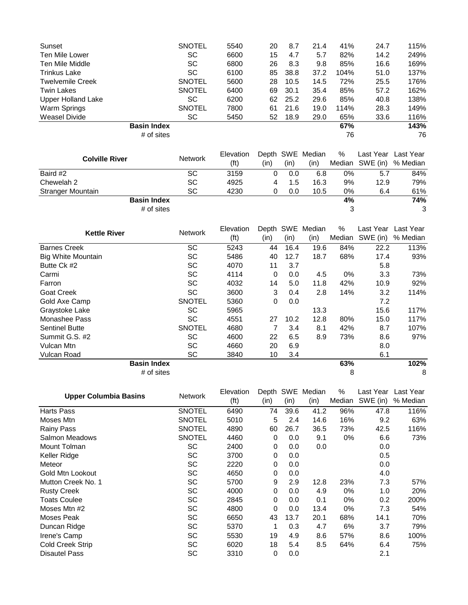| Sunset                       | <b>SNOTEL</b>   | 5540              | 20          | 8.7  | 21.4             | 41%    | 24.7                | 115%                |
|------------------------------|-----------------|-------------------|-------------|------|------------------|--------|---------------------|---------------------|
| <b>Ten Mile Lower</b>        | <b>SC</b>       | 6600              | 15          | 4.7  | 5.7              | 82%    | 14.2                | 249%                |
| <b>Ten Mile Middle</b>       | <b>SC</b>       | 6800              | 26          | 8.3  | 9.8              | 85%    | 16.6                | 169%                |
| <b>Trinkus Lake</b>          | SC              | 6100              | 85          | 38.8 | 37.2             | 104%   | 51.0                | 137%                |
| <b>Twelvemile Creek</b>      | <b>SNOTEL</b>   | 5600              | 28          | 10.5 | 14.5             | 72%    | 25.5                | 176%                |
| <b>Twin Lakes</b>            | <b>SNOTEL</b>   | 6400              | 69          | 30.1 | 35.4             | 85%    | 57.2                | 162%                |
| <b>Upper Holland Lake</b>    | SC              | 6200              | 62          | 25.2 | 29.6             | 85%    | 40.8                | 138%                |
| <b>Warm Springs</b>          | <b>SNOTEL</b>   | 7800              | 61          | 21.6 | 19.0             | 114%   | 28.3                | 149%                |
| <b>Weasel Divide</b>         | SC              | 5450              | 52          | 18.9 | 29.0             | 65%    | 33.6                | 116%                |
| <b>Basin Index</b>           |                 |                   |             |      |                  | 67%    |                     | 143%                |
| # of sites                   |                 |                   |             |      |                  | 76     |                     | 76                  |
|                              |                 |                   |             |      |                  |        |                     |                     |
|                              |                 | Elevation         |             |      | Depth SWE Median | $\%$   |                     | Last Year Last Year |
| <b>Colville River</b>        | Network         | (f <sup>t</sup> ) | (in)        | (in) | (in)             | Median | SWE (in)            | % Median            |
| Baird #2                     | $\overline{SC}$ | 3159              | $\mathbf 0$ | 0.0  | 6.8              | 0%     | 5.7                 | 84%                 |
| Chewelah 2                   | SC              | 4925              | 4           | 1.5  | 16.3             | 9%     | 12.9                | 79%                 |
| Stranger Mountain            | SC              | 4230              | 0           | 0.0  | 10.5             | 0%     | 6.4                 | 61%                 |
| <b>Basin Index</b>           |                 |                   |             |      |                  | 4%     |                     | 74%                 |
| # of sites                   |                 |                   |             |      |                  | 3      |                     | 3                   |
|                              |                 |                   |             |      |                  |        |                     |                     |
|                              |                 | Elevation         |             |      | Depth SWE Median | $\%$   | Last Year Last Year |                     |
| <b>Kettle River</b>          | <b>Network</b>  | (f <sup>t</sup> ) | (in)        | (in) | (in)             | Median | SWE (in)            | % Median            |
| <b>Barnes Creek</b>          | $\overline{SC}$ | $\overline{52}43$ | 44          | 16.4 | 19.6             | 84%    | 22.2                | 113%                |
| <b>Big White Mountain</b>    | SC              | 5486              | 40          | 12.7 | 18.7             | 68%    | 17.4                | 93%                 |
| Butte Ck #2                  | <b>SC</b>       | 4070              | 11          | 3.7  |                  |        | 5.8                 |                     |
| Carmi                        | <b>SC</b>       | 4114              | $\Omega$    | 0.0  | 4.5              | 0%     | 3.3                 | 73%                 |
| Farron                       | SC              | 4032              | 14          | 5.0  | 11.8             | 42%    | 10.9                | 92%                 |
| <b>Goat Creek</b>            | SC              | 3600              | 3           | 0.4  | 2.8              | 14%    | 3.2                 | 114%                |
| Gold Axe Camp                | <b>SNOTEL</b>   | 5360              | 0           | 0.0  |                  |        | 7.2                 |                     |
| Graystoke Lake               | SC              | 5965              |             |      | 13.3             |        | 15.6                | 117%                |
| Monashee Pass                | <b>SC</b>       | 4551              | 27          | 10.2 | 12.8             | 80%    | 15.0                | 117%                |
| <b>Sentinel Butte</b>        | <b>SNOTEL</b>   | 4680              | 7           | 3.4  | 8.1              | 42%    | 8.7                 | 107%                |
| Summit G.S. #2               | SC              | 4600              | 22          | 6.5  | 8.9              | 73%    | 8.6                 | 97%                 |
| <b>Vulcan Mtn</b>            | <b>SC</b>       | 4660              | 20          | 6.9  |                  |        | 8.0                 |                     |
| Vulcan Road                  | SC              | 3840              | 10          | 3.4  |                  |        | 6.1                 |                     |
| <b>Basin Index</b>           |                 |                   |             |      |                  | 63%    |                     | 102%                |
| # of sites                   |                 |                   |             |      |                  | 8      |                     | 8                   |
|                              |                 |                   |             |      |                  |        |                     |                     |
|                              |                 | Elevation         |             |      | Depth SWE Median | %      | Last Year Last Year |                     |
| <b>Upper Columbia Basins</b> | <b>Network</b>  | (f <sup>t</sup> ) | (in)        | (in) | (in)             | Median | SWE (in)            | % Median            |
| <b>Harts Pass</b>            | <b>SNOTEL</b>   | 6490              | 74          | 39.6 | 41.2             | 96%    | 47.8                | 116%                |
| Moses Mtn                    | <b>SNOTEL</b>   | 5010              | 5           | 2.4  | 14.6             | 16%    | 9.2                 | 63%                 |
| <b>Rainy Pass</b>            | <b>SNOTEL</b>   | 4890              | 60          | 26.7 | 36.5             | 73%    | 42.5                | 116%                |
| Salmon Meadows               | <b>SNOTEL</b>   | 4460              | $\pmb{0}$   | 0.0  | 9.1              | $0\%$  | 6.6                 | 73%                 |
| Mount Tolman                 | SC              | 2400              | 0           | 0.0  | 0.0              |        | 0.0                 |                     |

Keller Ridge **SC** 3700 0.0 0.5 0.5 Meteor SC 2220 0 0.0 0.0 Gold Mtn Lookout **SC** 4650 0 0.0 4.0

Rusty Creek **SC** 4000 0 0.0 4.9 0% 1.0

Disautel Pass 6. 2.1

Mutton Creek No. 1 <br>
Rusty Creek 100. 1 (SC 5700 9 2.9 12.8 23% 7.3 57% Rusty Creek 1.0 20%

Toats Coulee SC 2845 0 0.0 0.1 0% 0.2 200% Moses Mtn #2 SC 4800 0 0.0 13.4 0% 7.3 54% Moses Peak SC 6650 43 13.7 20.1 68% 14.1 70% Duncan Ridge **SC** 5370 1 0.3 4.7 6% 3.7 79% Irene's Camp **SC** 5530 19 4.9 8.6 57% 8.6 100% Cold Creek Strip **SC** 6020 18 5.4 8.5 64% 6.4 75%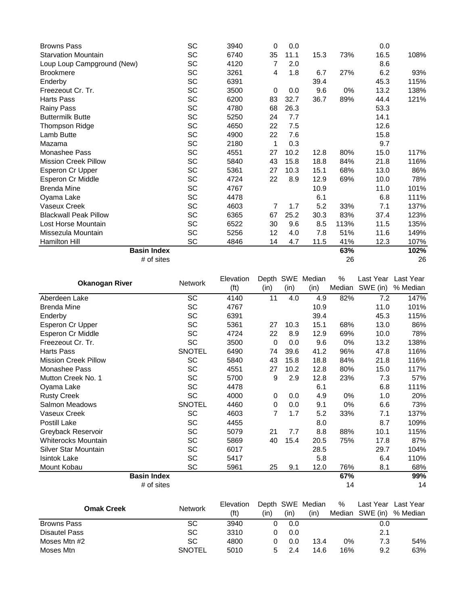| <b>Browns Pass</b>           |                    | SC        | 3940 | 0  | 0.0  |      |      | 0.0  |      |
|------------------------------|--------------------|-----------|------|----|------|------|------|------|------|
| <b>Starvation Mountain</b>   |                    | SC        | 6740 | 35 | 11.1 | 15.3 | 73%  | 16.5 | 108% |
| Loup Loup Campground (New)   |                    | SC        | 4120 | 7  | 2.0  |      |      | 8.6  |      |
| <b>Brookmere</b>             |                    | SC        | 3261 | 4  | 1.8  | 6.7  | 27%  | 6.2  | 93%  |
| Enderby                      |                    | SC        | 6391 |    |      | 39.4 |      | 45.3 | 115% |
| Freezeout Cr. Tr.            |                    | SC        | 3500 | 0  | 0.0  | 9.6  | 0%   | 13.2 | 138% |
| Harts Pass                   |                    | SC        | 6200 | 83 | 32.7 | 36.7 | 89%  | 44.4 | 121% |
| Rainy Pass                   |                    | <b>SC</b> | 4780 | 68 | 26.3 |      |      | 53.3 |      |
| <b>Buttermilk Butte</b>      |                    | SC        | 5250 | 24 | 7.7  |      |      | 14.1 |      |
| Thompson Ridge               |                    | SC        | 4650 | 22 | 7.5  |      |      | 12.6 |      |
| Lamb Butte                   |                    | SC        | 4900 | 22 | 7.6  |      |      | 15.8 |      |
| Mazama                       |                    | SC        | 2180 | 1  | 0.3  |      |      | 9.7  |      |
| Monashee Pass                |                    | SC        | 4551 | 27 | 10.2 | 12.8 | 80%  | 15.0 | 117% |
| <b>Mission Creek Pillow</b>  |                    | SC        | 5840 | 43 | 15.8 | 18.8 | 84%  | 21.8 | 116% |
| Esperon Cr Upper             |                    | SC        | 5361 | 27 | 10.3 | 15.1 | 68%  | 13.0 | 86%  |
| Esperon Cr Middle            |                    | <b>SC</b> | 4724 | 22 | 8.9  | 12.9 | 69%  | 10.0 | 78%  |
| <b>Brenda Mine</b>           |                    | SC        | 4767 |    |      | 10.9 |      | 11.0 | 101% |
| Oyama Lake                   |                    | <b>SC</b> | 4478 |    |      | 6.1  |      | 6.8  | 111% |
| Vaseux Creek                 |                    | SC        | 4603 | 7  | 1.7  | 5.2  | 33%  | 7.1  | 137% |
| <b>Blackwall Peak Pillow</b> |                    | SC        | 6365 | 67 | 25.2 | 30.3 | 83%  | 37.4 | 123% |
| Lost Horse Mountain          |                    | <b>SC</b> | 6522 | 30 | 9.6  | 8.5  | 113% | 11.5 | 135% |
| Missezula Mountain           |                    | SC        | 5256 | 12 | 4.0  | 7.8  | 51%  | 11.6 | 149% |
| Hamilton Hill                |                    | <b>SC</b> | 4846 | 14 | 4.7  | 11.5 | 41%  | 12.3 | 107% |
|                              | <b>Basin Index</b> |           |      |    |      |      | 63%  |      | 102% |
|                              | # of sites         |           |      |    |      |      | 26   |      | 26   |

|                             | <b>Network</b>     | Elevation         | Depth | SWE  | Median | %      | Last Year | Last Year |
|-----------------------------|--------------------|-------------------|-------|------|--------|--------|-----------|-----------|
| <b>Okanogan River</b>       |                    | (f <sup>t</sup> ) | (in)  | (in) | (in)   | Median | SWE (in)  | % Median  |
| Aberdeen Lake               | SC                 | 4140              | 11    | 4.0  | 4.9    | 82%    | 7.2       | 147%      |
| <b>Brenda Mine</b>          | SC                 | 4767              |       |      | 10.9   |        | 11.0      | 101%      |
| Enderby                     | SC                 | 6391              |       |      | 39.4   |        | 45.3      | 115%      |
| Esperon Cr Upper            | SC                 | 5361              | 27    | 10.3 | 15.1   | 68%    | 13.0      | 86%       |
| Esperon Cr Middle           | SC                 | 4724              | 22    | 8.9  | 12.9   | 69%    | 10.0      | 78%       |
| Freezeout Cr. Tr.           | SC                 | 3500              | 0     | 0.0  | 9.6    | 0%     | 13.2      | 138%      |
| Harts Pass                  | <b>SNOTEL</b>      | 6490              | 74    | 39.6 | 41.2   | 96%    | 47.8      | 116%      |
| <b>Mission Creek Pillow</b> | SC                 | 5840              | 43    | 15.8 | 18.8   | 84%    | 21.8      | 116%      |
| Monashee Pass               | SC                 | 4551              | 27    | 10.2 | 12.8   | 80%    | 15.0      | 117%      |
| Mutton Creek No. 1          | SC                 | 5700              | 9     | 2.9  | 12.8   | 23%    | 7.3       | 57%       |
| Oyama Lake                  | SC                 | 4478              |       |      | 6.1    |        | 6.8       | 111%      |
| <b>Rusty Creek</b>          | SC                 | 4000              | 0     | 0.0  | 4.9    | 0%     | 1.0       | 20%       |
| <b>Salmon Meadows</b>       | <b>SNOTEL</b>      | 4460              | 0     | 0.0  | 9.1    | 0%     | 6.6       | 73%       |
| Vaseux Creek                | SC                 | 4603              | 7     | 1.7  | 5.2    | 33%    | 7.1       | 137%      |
| Postill Lake                | SC                 | 4455              |       |      | 8.0    |        | 8.7       | 109%      |
| Greyback Reservoir          | SC                 | 5079              | 21    | 7.7  | 8.8    | 88%    | 10.1      | 115%      |
| <b>Whiterocks Mountain</b>  | SC                 | 5869              | 40    | 15.4 | 20.5   | 75%    | 17.8      | 87%       |
| Silver Star Mountain        | SC                 | 6017              |       |      | 28.5   |        | 29.7      | 104%      |
| Isintok Lake                | SC                 | 5417              |       |      | 5.8    |        | 6.4       | 110%      |
| Mount Kobau                 | SC                 | 5961              | 25    | 9.1  | 12.0   | 76%    | 8.1       | 68%       |
|                             | <b>Basin Index</b> |                   |       |      |        | 67%    |           | 99%       |
|                             | # of sites         |                   |       |      |        | 14     |           | 14        |

| <b>Omak Creek</b>    | <b>Network</b> | Elevation |      |      | Depth SWE Median | %      |          | Last Year Last Year |
|----------------------|----------------|-----------|------|------|------------------|--------|----------|---------------------|
|                      |                | (ft)      | (in) | (in) | (in)             | Median | SWE (in) | % Median            |
| Browns Pass          | SC             | 3940      |      | 0.0  |                  |        | 0.0      |                     |
| <b>Disautel Pass</b> | SC             | 3310      |      | 0.0  |                  |        | 2.1      |                     |
| Moses Mtn #2         | SC             | 4800      |      | 0.0  | 13.4             | 0%     | 7.3      | 54%                 |
| Moses Mtn            | <b>SNOTEL</b>  | 5010      |      | 24   | 14.6             | 16%    | 9.2      | 63%                 |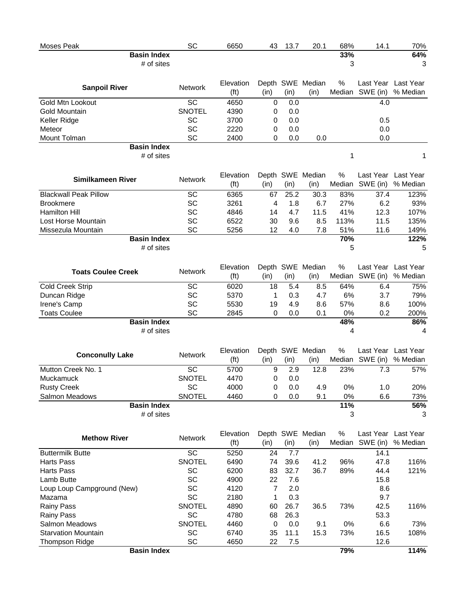| <b>Moses Peak</b>            | SC              | 6650              | 43          | 13.7 | 20.1             | 68%    | 14.1                     | 70%      |
|------------------------------|-----------------|-------------------|-------------|------|------------------|--------|--------------------------|----------|
| <b>Basin Index</b>           |                 |                   |             |      |                  | 33%    |                          | 64%      |
| # of sites                   |                 |                   |             |      |                  | 3      |                          | 3        |
|                              |                 |                   |             |      |                  |        |                          |          |
| <b>Sanpoil River</b>         | Network         | Elevation         |             |      | Depth SWE Median | %      | Last Year Last Year      |          |
|                              |                 | (f <sup>t</sup> ) | (in)        | (in) | (in)             | Median | SWE (in)                 | % Median |
| <b>Gold Mtn Lookout</b>      | $\overline{SC}$ | 4650              | $\mathbf 0$ | 0.0  |                  |        | 4.0                      |          |
| <b>Gold Mountain</b>         | <b>SNOTEL</b>   | 4390              | 0           | 0.0  |                  |        |                          |          |
| Keller Ridge                 | <b>SC</b>       | 3700              | 0           | 0.0  |                  |        | 0.5                      |          |
| Meteor                       | SC              | 2220              | 0           | 0.0  |                  |        | 0.0                      |          |
| Mount Tolman                 | SC              | 2400              | 0           | 0.0  | 0.0              |        | 0.0                      |          |
| <b>Basin Index</b>           |                 |                   |             |      |                  |        |                          |          |
| # of sites                   |                 |                   |             |      |                  | 1      |                          | 1        |
|                              |                 |                   |             |      |                  |        |                          |          |
| <b>Similkameen River</b>     | <b>Network</b>  | Elevation         |             |      | Depth SWE Median | %      | Last Year Last Year      |          |
|                              |                 | (f <sup>t</sup> ) | (in)        | (in) | (in)             |        | Median SWE (in)          | % Median |
| <b>Blackwall Peak Pillow</b> | <b>SC</b>       | 6365              | 67          | 25.2 | 30.3             | 83%    | 37.4                     | 123%     |
| <b>Brookmere</b>             | SC              | 3261              | 4           | 1.8  | 6.7              | 27%    | 6.2                      | 93%      |
| <b>Hamilton Hill</b>         | SC              | 4846              | 14          | 4.7  | 11.5             | 41%    | 12.3                     | 107%     |
| Lost Horse Mountain          | SC              | 6522              | 30          | 9.6  | 8.5              | 113%   | 11.5                     | 135%     |
| Missezula Mountain           | SC              | 5256              | 12          | 4.0  | 7.8              | 51%    | 11.6                     | 149%     |
| <b>Basin Index</b>           |                 |                   |             |      |                  | 70%    |                          | 122%     |
| # of sites                   |                 |                   |             |      |                  | 5      |                          | 5        |
|                              |                 |                   |             |      |                  |        |                          |          |
|                              |                 | Elevation         |             |      | Depth SWE Median | $\%$   | Last Year Last Year      |          |
| <b>Toats Coulee Creek</b>    | Network         | (f <sup>t</sup> ) | (in)        | (in) | (in)             | Median | SWE (in)                 | % Median |
| <b>Cold Creek Strip</b>      | SC              | 6020              | 18          | 5.4  | 8.5              | 64%    | 6.4                      | 75%      |
| Duncan Ridge                 | SC              | 5370              | 1           | 0.3  | 4.7              | 6%     | 3.7                      | 79%      |
| Irene's Camp                 | SC              | 5530              | 19          | 4.9  | 8.6              | 57%    | 8.6                      | 100%     |
| <b>Toats Coulee</b>          | SC              | 2845              | 0           | 0.0  | 0.1              | 0%     | 0.2                      | 200%     |
| <b>Basin Index</b>           |                 |                   |             |      |                  | 48%    |                          | 86%      |
| # of sites                   |                 |                   |             |      |                  | 4      |                          | 4        |
|                              |                 |                   |             |      |                  |        |                          |          |
|                              |                 | Elevation         |             |      | Depth SWE Median | %      | Last Year Last Year      |          |
| <b>Conconully Lake</b>       | <b>Network</b>  | (f <sup>t</sup> ) | (in)        | (in) | (in)             |        | Median SWE (in) % Median |          |
| Mutton Creek No. 1           | $\overline{SC}$ | 5700              | 9           | 2.9  | 12.8             | 23%    | 7.3                      | 57%      |
| Muckamuck                    | SNOTEL          | 4470              | 0           | 0.0  |                  |        |                          |          |
| <b>Rusty Creek</b>           | SC              | 4000              | 0           | 0.0  | 4.9              | 0%     | 1.0                      | 20%      |
| Salmon Meadows               | <b>SNOTEL</b>   | 4460              | 0           | 0.0  | 9.1              | 0%     | 6.6                      | 73%      |
| <b>Basin Index</b>           |                 |                   |             |      |                  | 11%    |                          | 56%      |
| # of sites                   |                 |                   |             |      |                  | 3      |                          | 3        |
|                              |                 |                   |             |      |                  |        |                          |          |
|                              |                 | Elevation         |             |      | Depth SWE Median | %      | Last Year Last Year      |          |
| <b>Methow River</b>          | <b>Network</b>  | (f <sup>t</sup> ) | (in)        | (in) | (in)             |        | Median SWE (in)          | % Median |
| <b>Buttermilk Butte</b>      | $\overline{SC}$ | 5250              | 24          | 7.7  |                  |        | 14.1                     |          |
| <b>Harts Pass</b>            | <b>SNOTEL</b>   | 6490              | 74          | 39.6 | 41.2             | 96%    | 47.8                     | 116%     |
| <b>Harts Pass</b>            | SC              | 6200              | 83          | 32.7 | 36.7             | 89%    | 44.4                     | 121%     |
| Lamb Butte                   | SC              | 4900              | 22          | 7.6  |                  |        | 15.8                     |          |
| Loup Loup Campground (New)   | SC              | 4120              | 7           | 2.0  |                  |        | 8.6                      |          |
| Mazama                       | SC              | 2180              | 1           | 0.3  |                  |        | 9.7                      |          |
| <b>Rainy Pass</b>            | <b>SNOTEL</b>   | 4890              | 60          | 26.7 | 36.5             | 73%    | 42.5                     | 116%     |
| Rainy Pass                   | SC              | 4780              | 68          | 26.3 |                  |        | 53.3                     |          |
| Salmon Meadows               | <b>SNOTEL</b>   | 4460              | 0           | 0.0  | 9.1              | 0%     | 6.6                      | 73%      |
| <b>Starvation Mountain</b>   | SC              | 6740              | 35          | 11.1 | 15.3             | 73%    | 16.5                     | 108%     |
| <b>Thompson Ridge</b>        | SC              | 4650              | 22          | 7.5  |                  |        | 12.6                     |          |
| <b>Basin Index</b>           |                 |                   |             |      |                  | 79%    |                          | 114%     |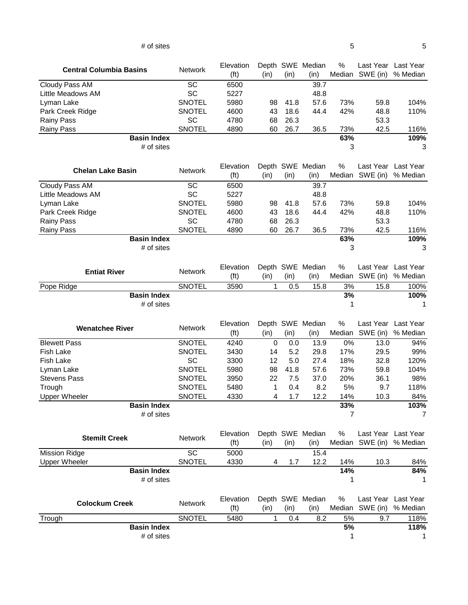# of sites  $\overline{5}$  5  $\overline{5}$  5

| <b>Central Columbia Basins</b>   | Network         | Elevation<br>(f <sup>t</sup> ) | (in)        | (in) | Depth SWE Median<br>(in) | %              | Median SWE (in)       | Last Year Last Year<br>% Median |
|----------------------------------|-----------------|--------------------------------|-------------|------|--------------------------|----------------|-----------------------|---------------------------------|
| Cloudy Pass AM                   | SC              | 6500                           |             |      | 39.7                     |                |                       |                                 |
| Little Meadows AM                | <b>SC</b>       | 5227                           |             |      | 48.8                     |                |                       |                                 |
| Lyman Lake                       | <b>SNOTEL</b>   | 5980                           | 98          | 41.8 | 57.6                     | 73%            | 59.8                  | 104%                            |
| Park Creek Ridge                 | <b>SNOTEL</b>   | 4600                           | 43          | 18.6 | 44.4                     | 42%            | 48.8                  | 110%                            |
| <b>Rainy Pass</b>                | SC              | 4780                           | 68          | 26.3 |                          |                | 53.3                  |                                 |
| <b>Rainy Pass</b>                | <b>SNOTEL</b>   | 4890                           | 60          | 26.7 | 36.5                     | 73%            | 42.5                  | 116%                            |
| <b>Basin Index</b>               |                 |                                |             |      |                          | 63%            |                       | 109%                            |
| $#$ of sites                     |                 |                                |             |      |                          | 3              |                       | 3                               |
| <b>Chelan Lake Basin</b>         | Network         | Elevation<br>(f <sup>t</sup> ) | (in)        | (in) | Depth SWE Median<br>(in) | %<br>Median    | Last Year<br>SWE (in) | Last Year<br>% Median           |
| Cloudy Pass AM                   | <b>SC</b>       | 6500                           |             |      | 39.7                     |                |                       |                                 |
| <b>Little Meadows AM</b>         | <b>SC</b>       | 5227                           |             |      | 48.8                     |                |                       |                                 |
| Lyman Lake                       | <b>SNOTEL</b>   | 5980                           | 98          | 41.8 | 57.6                     | 73%            | 59.8                  | 104%                            |
| Park Creek Ridge                 | <b>SNOTEL</b>   | 4600                           | 43          | 18.6 | 44.4                     | 42%            | 48.8                  | 110%                            |
| <b>Rainy Pass</b>                | <b>SC</b>       | 4780                           | 68          | 26.3 |                          |                | 53.3                  |                                 |
| <b>Rainy Pass</b>                | <b>SNOTEL</b>   | 4890                           | 60          | 26.7 | 36.5                     | 73%            | 42.5                  | 116%                            |
| <b>Basin Index</b>               |                 |                                |             |      |                          | 63%            |                       | 109%                            |
| # of sites                       |                 |                                |             |      |                          | 3              |                       | 3                               |
|                                  |                 | Elevation                      |             |      | Depth SWE Median         | %              | Last Year             | Last Year                       |
| <b>Entiat River</b>              | <b>Network</b>  | (f <sup>t</sup> )              | (in)        | (in) | (in)                     | Median         | SWE (in)              | % Median                        |
| Pope Ridge                       | <b>SNOTEL</b>   | 3590                           | 1           | 0.5  | 15.8                     | 3%             | 15.8                  | 100%                            |
| <b>Basin Index</b>               |                 |                                |             |      |                          | 3%             |                       | 100%                            |
| # of sites                       |                 |                                |             |      |                          | 1              |                       | 1                               |
|                                  |                 |                                |             |      |                          |                |                       |                                 |
| <b>Wenatchee River</b>           | Network         | Elevation                      |             |      | Depth SWE Median         | %              |                       | Last Year Last Year             |
|                                  |                 | (f <sup>t</sup> )              | (in)        | (in) | (in)                     | Median         | SWE (in)              | % Median                        |
| <b>Blewett Pass</b>              | <b>SNOTEL</b>   | 4240                           | $\mathbf 0$ | 0.0  | 13.9                     | 0%             | 13.0                  | 94%                             |
| <b>Fish Lake</b>                 | <b>SNOTEL</b>   | 3430                           | 14          | 5.2  | 29.8                     | 17%            | 29.5                  | 99%                             |
| <b>Fish Lake</b>                 | SC              | 3300                           | 12          | 5.0  | 27.4                     | 18%            | 32.8                  | 120%                            |
| Lyman Lake                       | <b>SNOTEL</b>   | 5980                           | 98          | 41.8 | 57.6                     | 73%            | 59.8                  | 104%                            |
| <b>Stevens Pass</b>              | <b>SNOTEL</b>   | 3950                           | 22          | 7.5  | 37.0                     | 20%            | 36.1                  | 98%                             |
| Trough                           | <b>SNOTEL</b>   | 5480                           | 1           | 0.4  | 8.2                      | 5%             | 9.7                   | 118%                            |
| <b>Upper Wheeler</b>             | <b>SNOTEL</b>   | 4330                           | 4           | 1.7  | 12.2                     | 14%            | 10.3                  | 84%                             |
| <b>Basin Index</b>               |                 |                                |             |      |                          | 33%            |                       | 103%                            |
| # of sites                       |                 |                                |             |      |                          | $\overline{7}$ |                       | 7                               |
|                                  |                 | Elevation                      |             |      | Depth SWE Median         | %              | Last Year Last Year   |                                 |
| <b>Stemilt Creek</b>             | Network         | (f <sup>t</sup> )              | (in)        | (in) | (in)                     | Median         | SWE (in)              | % Median                        |
| <b>Mission Ridge</b>             | $\overline{SC}$ | 5000                           |             |      | 15.4                     |                |                       |                                 |
| <b>Upper Wheeler</b>             | <b>SNOTEL</b>   | 4330                           | 4           | 1.7  | 12.2                     | 14%            | 10.3                  | 84%                             |
| <b>Basin Index</b>               |                 |                                |             |      |                          | 14%            |                       | 84%                             |
| # of sites                       |                 |                                |             |      |                          | 1              |                       |                                 |
|                                  |                 |                                |             |      |                          |                |                       |                                 |
| <b>Colockum Creek</b>            | Network         | Elevation                      |             |      | Depth SWE Median         | %              |                       | Last Year Last Year             |
|                                  |                 | (f <sup>t</sup> )              | (in)        | (in) | (in)                     | Median         | SWE (in)              | % Median                        |
| Trough                           |                 |                                |             |      |                          |                |                       |                                 |
|                                  | <b>SNOTEL</b>   | 5480                           | 1           | 0.4  | 8.2                      | 5%             | 9.7                   | 118%                            |
| <b>Basin Index</b><br># of sites |                 |                                |             |      |                          | 5%<br>1        |                       | 118%<br>1                       |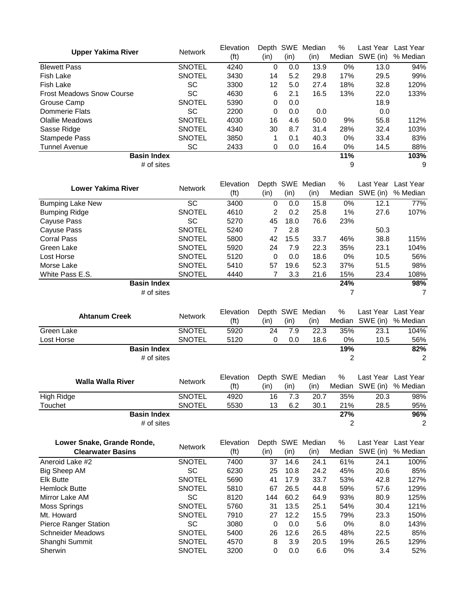|                                          |                                | Elevation         |                      |            | Depth SWE Median | $\%$      |             | Last Year Last Year |
|------------------------------------------|--------------------------------|-------------------|----------------------|------------|------------------|-----------|-------------|---------------------|
| <b>Upper Yakima River</b>                | <b>Network</b>                 | (f <sup>t</sup> ) | (in)                 | (in)       | (in)             | Median    | SWE (in)    | % Median            |
| <b>Blewett Pass</b>                      | <b>SNOTEL</b>                  | 4240              | $\mathbf 0$          | 0.0        | 13.9             | 0%        | 13.0        | 94%                 |
| Fish Lake                                | <b>SNOTEL</b>                  | 3430              | 14                   | 5.2        | 29.8             | 17%       | 29.5        | 99%                 |
| <b>Fish Lake</b>                         | SC                             | 3300              | 12                   | 5.0        | 27.4             | 18%       | 32.8        | 120%                |
| <b>Frost Meadows Snow Course</b>         | <b>SC</b>                      | 4630              | 6                    | 2.1        | 16.5             | 13%       | 22.0        | 133%                |
| Grouse Camp                              | <b>SNOTEL</b>                  | 5390              | 0                    | 0.0        |                  |           | 18.9        |                     |
| Dommerie Flats                           | SC                             | 2200              | 0                    | 0.0        | 0.0              |           | 0.0         |                     |
| <b>Olallie Meadows</b>                   | <b>SNOTEL</b>                  | 4030              | 16                   | 4.6        | 50.0             | 9%        | 55.8        | 112%                |
| Sasse Ridge                              | <b>SNOTEL</b>                  | 4340              | 30                   | 8.7        | 31.4             | 28%       | 32.4        | 103%                |
| <b>Stampede Pass</b>                     | <b>SNOTEL</b>                  | 3850              | 1                    | 0.1        | 40.3             | 0%        | 33.4        | 83%                 |
| <b>Tunnel Avenue</b>                     | SC                             | 2433              | 0                    | 0.0        | 16.4             | 0%        | 14.5        | 88%                 |
| <b>Basin Index</b>                       |                                |                   |                      |            |                  | 11%       |             | 103%                |
| # of sites                               |                                |                   |                      |            |                  | 9         |             | 9                   |
|                                          |                                |                   |                      |            |                  |           |             |                     |
|                                          |                                | Elevation         |                      |            | Depth SWE Median | %         | Last Year   | Last Year           |
| <b>Lower Yakima River</b>                | <b>Network</b>                 | (f <sup>t</sup> ) | (in)                 | (in)       | (in)             | Median    | SWE (in)    | % Median            |
| <b>Bumping Lake New</b>                  | <b>SC</b>                      | 3400              | $\pmb{0}$            | 0.0        | 15.8             | 0%        | 12.1        | 77%                 |
| <b>Bumping Ridge</b>                     | <b>SNOTEL</b>                  | 4610              | $\overline{c}$       | 0.2        | 25.8             | 1%        | 27.6        | 107%                |
| Cayuse Pass                              | <b>SC</b>                      | 5270              | 45                   | 18.0       | 76.6             | 23%       |             |                     |
| Cayuse Pass                              | <b>SNOTEL</b>                  | 5240              | 7                    | 2.8        |                  |           | 50.3        |                     |
| <b>Corral Pass</b>                       | <b>SNOTEL</b>                  | 5800              | 42                   | 15.5       | 33.7             | 46%       | 38.8        | 115%                |
| Green Lake                               | <b>SNOTEL</b>                  | 5920              | 24                   | 7.9        | 22.3             | 35%       | 23.1        | 104%                |
|                                          | <b>SNOTEL</b>                  | 5120              |                      |            | 18.6             | 0%        | 10.5        |                     |
| Lost Horse                               |                                |                   | 0                    | 0.0        |                  |           |             | 56%                 |
| Morse Lake                               | <b>SNOTEL</b>                  | 5410              | 57<br>$\overline{7}$ | 19.6       | 52.3             | 37%       | 51.5        | 98%<br>108%         |
| White Pass E.S.<br><b>Basin Index</b>    | <b>SNOTEL</b>                  | 4440              |                      | 3.3        | 21.6             | 15%       | 23.4        |                     |
|                                          |                                |                   |                      |            |                  | 24%       |             | 98%                 |
| # of sites                               |                                |                   |                      |            |                  | 7         |             | 7                   |
|                                          |                                |                   |                      |            |                  |           |             |                     |
|                                          |                                |                   |                      |            |                  |           |             |                     |
|                                          |                                | Elevation         |                      |            | Depth SWE Median | $\%$      |             | Last Year Last Year |
| <b>Ahtanum Creek</b>                     | Network                        | (f <sup>t</sup> ) | (in)                 | (in)       | (in)             | Median    | SWE (in)    | % Median            |
| Green Lake                               | <b>SNOTEL</b>                  | 5920              | 24                   | 7.9        | 22.3             | 35%       | 23.1        | 104%                |
| Lost Horse                               | <b>SNOTEL</b>                  | 5120              | 0                    | 0.0        | 18.6             | 0%        | 10.5        | 56%                 |
| <b>Basin Index</b>                       |                                |                   |                      |            |                  | 19%       |             | 82%                 |
| # of sites                               |                                |                   |                      |            |                  | 2         |             | $\overline{2}$      |
|                                          |                                |                   |                      |            |                  |           |             |                     |
|                                          |                                | Elevation         |                      |            | Depth SWE Median | $\%$      |             | Last Year Last Year |
| <b>Walla Walla River</b>                 | <b>Network</b>                 | (f <sub>t</sub> ) | (in)                 | (in)       | (in)             | Median    | SWE (in)    | % Median            |
| High Ridge                               | <b>SNOTEL</b>                  | 4920              | 16                   | 7.3        | 20.7             | 35%       | 20.3        | 98%                 |
| Touchet                                  | <b>SNOTEL</b>                  | 5530              | 13                   | 6.2        | 30.1             | 21%       | 28.5        | 95%                 |
| <b>Basin Index</b>                       |                                |                   |                      |            |                  | 27%       |             | 96%                 |
| # of sites                               |                                |                   |                      |            |                  | 2         |             | $\overline{2}$      |
|                                          |                                |                   |                      |            |                  |           |             |                     |
| Lower Snake, Grande Ronde,               |                                | Elevation         |                      |            | Depth SWE Median | %         |             | Last Year Last Year |
| <b>Clearwater Basins</b>                 | <b>Network</b>                 |                   | (in)                 | (in)       | (in)             | Median    | SWE (in)    | % Median            |
|                                          |                                | (f <sup>t</sup> ) |                      |            |                  |           |             |                     |
| Aneroid Lake #2                          | <b>SNOTEL</b>                  | 7400              | 37                   | 14.6       | 24.1             | 61%       | 24.1        | 100%                |
| <b>Big Sheep AM</b>                      | SC                             | 6230              | 25                   | 10.8       | 24.2             | 45%       | 20.6        | 85%                 |
| <b>Elk Butte</b><br><b>Hemlock Butte</b> | <b>SNOTEL</b>                  | 5690              | 41<br>67             | 17.9       | 33.7             | 53%       | 42.8        | 127%                |
|                                          | <b>SNOTEL</b>                  | 5810              |                      | 26.5       | 44.8             | 59%       | 57.6        | 129%                |
| Mirror Lake AM                           | SC                             | 8120              | 144                  | 60.2       | 64.9             | 93%       | 80.9        | 125%                |
| <b>Moss Springs</b>                      | <b>SNOTEL</b>                  | 5760              | 31                   | 13.5       | 25.1             | 54%       | 30.4        | 121%                |
| Mt. Howard                               | <b>SNOTEL</b>                  | 7910              | 27                   | 12.2       | 15.5             | 79%       | 23.3        | 150%                |
| <b>Pierce Ranger Station</b>             | SC                             | 3080              | 0                    | 0.0        | 5.6              | 0%        | 8.0         | 143%                |
| <b>Schneider Meadows</b>                 | <b>SNOTEL</b>                  | 5400              | 26                   | 12.6       | 26.5             | 48%       | 22.5        | 85%                 |
| Shanghi Summit<br>Sherwin                | <b>SNOTEL</b><br><b>SNOTEL</b> | 4570<br>3200      | 8<br>0               | 3.9<br>0.0 | 20.5<br>6.6      | 19%<br>0% | 26.5<br>3.4 | 129%<br>52%         |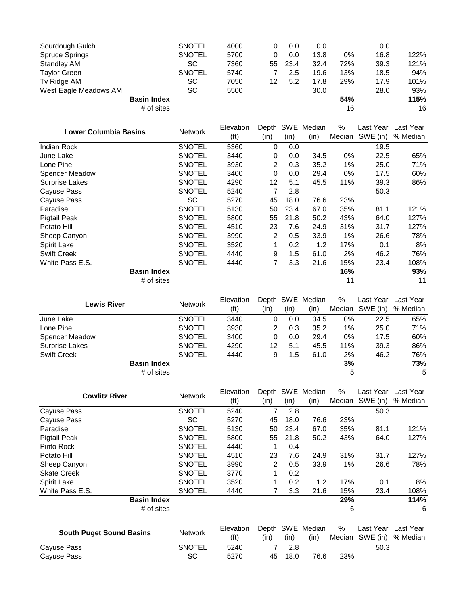| Sourdough Gulch                 | <b>SNOTEL</b>                  | 4000                      | 0                      | 0.0         | 0.0              |             | 0.0                 |           |
|---------------------------------|--------------------------------|---------------------------|------------------------|-------------|------------------|-------------|---------------------|-----------|
| <b>Spruce Springs</b>           | <b>SNOTEL</b>                  | 5700                      | 0                      | 0.0         | 13.8             | 0%          | 16.8                | 122%      |
| <b>Standley AM</b>              | <b>SC</b>                      | 7360                      | 55                     | 23.4        | 32.4             | 72%         | 39.3                | 121%      |
| <b>Taylor Green</b>             | <b>SNOTEL</b>                  | 5740                      | $\overline{7}$         | 2.5         | 19.6             | 13%         | 18.5                | 94%       |
| Tv Ridge AM                     | SC                             | 7050                      | 12                     | 5.2         | 17.8             | 29%         | 17.9                | 101%      |
| West Eagle Meadows AM           | SC                             | 5500                      |                        |             | 30.0             |             | 28.0                | 93%       |
| <b>Basin Index</b>              |                                |                           |                        |             |                  | 54%         |                     | 115%      |
| # of sites                      |                                |                           |                        |             |                  | 16          |                     | 16        |
|                                 |                                |                           |                        |             |                  |             |                     |           |
| <b>Lower Columbia Basins</b>    | Network                        | Elevation                 | Depth SWE              |             | Median           | %<br>Median | Last Year           | Last Year |
|                                 |                                | (f <sub>t</sub> )         | (in)                   | (in)        | (in)             |             | SWE (in)            | % Median  |
| <b>Indian Rock</b><br>June Lake | <b>SNOTEL</b><br><b>SNOTEL</b> | 5360<br>3440              | $\mathbf 0$<br>0       | 0.0<br>0.0  | 34.5             | 0%          | 19.5<br>22.5        | 65%       |
| Lone Pine                       | <b>SNOTEL</b>                  | 3930                      | 2                      | 0.3         | 35.2             | 1%          | 25.0                | 71%       |
| <b>Spencer Meadow</b>           | <b>SNOTEL</b>                  | 3400                      | 0                      | 0.0         | 29.4             | 0%          | 17.5                | 60%       |
| <b>Surprise Lakes</b>           | <b>SNOTEL</b>                  | 4290                      | 12                     | 5.1         | 45.5             | 11%         | 39.3                | 86%       |
| Cayuse Pass                     | <b>SNOTEL</b>                  | 5240                      | $\overline{7}$         | 2.8         |                  |             | 50.3                |           |
| Cayuse Pass                     | SC                             | 5270                      | 45                     | 18.0        | 76.6             | 23%         |                     |           |
| Paradise                        | <b>SNOTEL</b>                  | 5130                      | 50                     | 23.4        | 67.0             | 35%         | 81.1                | 121%      |
| <b>Pigtail Peak</b>             | <b>SNOTEL</b>                  | 5800                      | 55                     | 21.8        | 50.2             | 43%         | 64.0                | 127%      |
| Potato Hill                     | <b>SNOTEL</b>                  | 4510                      | 23                     | 7.6         | 24.9             | 31%         | 31.7                | 127%      |
| Sheep Canyon                    | <b>SNOTEL</b>                  | 3990                      | 2                      | 0.5         | 33.9             | 1%          | 26.6                | 78%       |
| Spirit Lake                     | <b>SNOTEL</b>                  | 3520                      | 1                      | 0.2         | 1.2              | 17%         | 0.1                 | 8%        |
| <b>Swift Creek</b>              | <b>SNOTEL</b>                  | 4440                      | 9                      | 1.5         | 61.0             | 2%          | 46.2                | 76%       |
| White Pass E.S.                 | <b>SNOTEL</b>                  | 4440                      | 7                      | 3.3         | 21.6             | 15%         | 23.4                | 108%      |
| <b>Basin Index</b>              |                                |                           |                        |             |                  | 16%         |                     | 93%       |
| # of sites                      |                                |                           |                        |             |                  | 11          |                     | 11        |
|                                 |                                |                           |                        |             |                  |             |                     |           |
|                                 |                                |                           |                        |             |                  |             |                     |           |
|                                 |                                | Elevation                 |                        |             | Depth SWE Median | $\%$        | Last Year           | Last Year |
| <b>Lewis River</b>              | Network                        | (f <sup>t</sup> )         | (in)                   | (in)        | (in)             | Median      | SWE (in)            | % Median  |
| June Lake                       | <b>SNOTEL</b>                  | 3440                      | $\pmb{0}$              | 0.0         | 34.5             | 0%          | 22.5                | 65%       |
| Lone Pine                       | <b>SNOTEL</b>                  | 3930                      | 2                      | 0.3         | 35.2             | 1%          | 25.0                | 71%       |
| <b>Spencer Meadow</b>           | <b>SNOTEL</b>                  | 3400                      | 0                      | 0.0         | 29.4             | 0%          | 17.5                | 60%       |
| <b>Surprise Lakes</b>           | <b>SNOTEL</b>                  | 4290                      | 12                     | 5.1         | 45.5             | 11%         | 39.3                | 86%       |
| <b>Swift Creek</b>              | <b>SNOTEL</b>                  | 4440                      | 9                      | 1.5         | 61.0             | 2%          | 46.2                | 76%       |
| <b>Basin Index</b>              |                                |                           |                        |             |                  | 3%          |                     | 73%       |
| # of sites                      |                                |                           |                        |             |                  | 5           |                     | 5         |
|                                 |                                | Elevation                 |                        |             | Depth SWE Median | %           | Last Year Last Year |           |
| <b>Cowlitz River</b>            | <b>Network</b>                 | (f <sup>t</sup> )         | (in)                   | (in)        | (in)             | Median      | SWE (in)            | % Median  |
| Cayuse Pass                     | <b>SNOTEL</b>                  | 5240                      | $\overline{7}$         | 2.8         |                  |             | 50.3                |           |
| Cayuse Pass                     | SC                             | 5270                      | 45                     | 18.0        | 76.6             | 23%         |                     |           |
| Paradise                        | <b>SNOTEL</b>                  | 5130                      | 50                     | 23.4        | 67.0             | 35%         | 81.1                | 121%      |
| <b>Pigtail Peak</b>             | <b>SNOTEL</b>                  | 5800                      | 55                     | 21.8        | 50.2             | 43%         | 64.0                | 127%      |
| Pinto Rock                      | <b>SNOTEL</b>                  | 4440                      | 1                      | 0.4         |                  |             |                     |           |
| Potato Hill                     | <b>SNOTEL</b>                  | 4510                      | 23                     | 7.6         | 24.9             | 31%         | 31.7                | 127%      |
| Sheep Canyon                    | <b>SNOTEL</b>                  | 3990                      | $\overline{2}$         | 0.5         | 33.9             | 1%          | 26.6                | 78%       |
| <b>Skate Creek</b>              | <b>SNOTEL</b>                  | 3770                      | 1                      | 0.2         |                  |             |                     |           |
| Spirit Lake                     | <b>SNOTEL</b>                  | 3520                      | 1                      | 0.2         | 1.2              | 17%         | 0.1                 | 8%        |
| White Pass E.S.                 | <b>SNOTEL</b>                  | 4440                      | 7                      | 3.3         | 21.6             | 15%         | 23.4                | 108%      |
| <b>Basin Index</b>              |                                |                           |                        |             |                  | 29%         |                     | 114%      |
| # of sites                      |                                |                           |                        |             |                  | 6           |                     | 6         |
|                                 |                                |                           |                        |             |                  |             |                     |           |
| <b>South Puget Sound Basins</b> | <b>Network</b>                 | Elevation                 |                        |             | Depth SWE Median | ℅           | Last Year Last Year |           |
| Cayuse Pass                     | <b>SNOTEL</b>                  | (f <sup>t</sup> )<br>5240 | (in)<br>$\overline{7}$ | (in)<br>2.8 | (in)             | Median      | SWE (in)<br>50.3    | % Median  |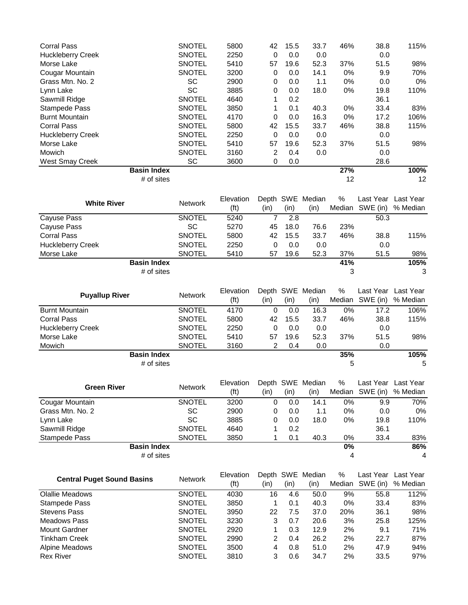| <b>Corral Pass</b><br><b>Huckleberry Creek</b><br>Morse Lake | <b>SNOTEL</b><br><b>SNOTEL</b><br><b>SNOTEL</b> | 5800<br>2250<br>5410           | 42<br>0<br>57  | 15.5<br>0.0<br>19.6 | 33.7<br>0.0<br>52.3      | 46%<br>37%         | 38.8<br>0.0<br>51.5 | 115%<br>98%                     |
|--------------------------------------------------------------|-------------------------------------------------|--------------------------------|----------------|---------------------|--------------------------|--------------------|---------------------|---------------------------------|
| Cougar Mountain                                              | <b>SNOTEL</b>                                   | 3200                           | 0              | 0.0                 | 14.1                     | 0%                 | 9.9                 | 70%                             |
| Grass Mtn. No. 2                                             | SC                                              | 2900                           | 0              | 0.0                 | 1.1                      | 0%                 | 0.0                 | 0%                              |
| Lynn Lake                                                    | <b>SC</b>                                       | 3885                           | 0              | 0.0                 | 18.0                     | 0%                 | 19.8                | 110%                            |
| Sawmill Ridge                                                | <b>SNOTEL</b>                                   | 4640                           | 1              | 0.2                 |                          |                    | 36.1                |                                 |
| Stampede Pass                                                | <b>SNOTEL</b>                                   | 3850                           | 1              | 0.1                 | 40.3                     | 0%                 | 33.4                | 83%                             |
| <b>Burnt Mountain</b>                                        | <b>SNOTEL</b>                                   | 4170                           | 0              | 0.0                 | 16.3                     | 0%                 | 17.2                | 106%                            |
| <b>Corral Pass</b>                                           | <b>SNOTEL</b>                                   | 5800                           | 42             | 15.5                | 33.7                     | 46%                | 38.8                | 115%                            |
| <b>Huckleberry Creek</b>                                     | <b>SNOTEL</b>                                   | 2250                           | 0              | 0.0                 | 0.0                      |                    | 0.0                 |                                 |
| Morse Lake                                                   | <b>SNOTEL</b>                                   | 5410                           | 57             | 19.6                | 52.3                     | 37%                | 51.5                | 98%                             |
| Mowich                                                       | <b>SNOTEL</b><br>SC                             | 3160                           | 2              | 0.4                 | 0.0                      |                    | 0.0                 |                                 |
| <b>West Smay Creek</b><br><b>Basin Index</b>                 |                                                 | 3600                           | 0              | 0.0                 |                          | 27%                | 28.6                | 100%                            |
| # of sites                                                   |                                                 |                                |                |                     |                          | 12                 |                     | 12                              |
|                                                              |                                                 |                                |                |                     |                          |                    |                     |                                 |
| <b>White River</b>                                           | <b>Network</b>                                  | Elevation<br>(f <sup>t</sup> ) | (in)           | (in)                | Depth SWE Median<br>(in) | $\%$<br>Median     | SWE (in)            | Last Year Last Year<br>% Median |
| Cayuse Pass                                                  | <b>SNOTEL</b>                                   | 5240                           | $\overline{7}$ | 2.8                 |                          |                    | 50.3                |                                 |
| Cayuse Pass                                                  | SC                                              | 5270                           | 45             | 18.0                | 76.6                     | 23%                |                     |                                 |
| <b>Corral Pass</b>                                           | <b>SNOTEL</b>                                   | 5800                           | 42             | 15.5                | 33.7                     | 46%                | 38.8                | 115%                            |
| <b>Huckleberry Creek</b>                                     | <b>SNOTEL</b>                                   | 2250                           | 0              | 0.0                 | 0.0                      |                    | 0.0                 |                                 |
| Morse Lake                                                   | <b>SNOTEL</b>                                   | 5410                           | 57             | 19.6                | 52.3                     | 37%                | 51.5                | 98%                             |
| <b>Basin Index</b><br># of sites                             |                                                 |                                |                |                     |                          | 41%<br>3           |                     | 105%<br>3                       |
| <b>Puyallup River</b>                                        | Network                                         | Elevation<br>(f <sup>t</sup> ) | (in)           | (in)                | Depth SWE Median<br>(in) | $\%$<br>Median     | SWE (in)            | Last Year Last Year<br>% Median |
| <b>Burnt Mountain</b>                                        | <b>SNOTEL</b>                                   | 4170                           | 0              | 0.0                 | 16.3                     | 0%                 | 17.2                | 106%                            |
| <b>Corral Pass</b>                                           | <b>SNOTEL</b>                                   | 5800                           | 42             | 15.5                | 33.7                     | 46%                | 38.8                | 115%                            |
| <b>Huckleberry Creek</b>                                     | <b>SNOTEL</b>                                   | 2250                           | 0              | 0.0                 | 0.0                      |                    | 0.0                 |                                 |
| Morse Lake                                                   | <b>SNOTEL</b>                                   | 5410                           | 57             | 19.6                | 52.3                     | 37%                | 51.5                | 98%                             |
| Mowich                                                       | <b>SNOTEL</b>                                   | 3160                           | 2              | 0.4                 | 0.0                      |                    | 0.0                 |                                 |
| <b>Basin Index</b><br># of sites                             |                                                 |                                |                |                     |                          | 35%<br>$\mathbf b$ |                     | 105%<br>5                       |
|                                                              |                                                 | Elevation                      |                |                     | Depth SWE Median         | $\%$               |                     | Last Year Last Year             |
| <b>Green River</b>                                           | Network                                         | (f <sup>t</sup> )              | (in)           | (in)                | (in)                     | Median             | SWE (in)            | % Median                        |
| <b>Cougar Mountain</b>                                       | <b>SNOTEL</b>                                   | 3200                           | 0              | 0.0                 | 14.1                     | 0%                 | 9.9                 | 70%                             |
| Grass Mtn. No. 2                                             | SC                                              | 2900                           | 0              | 0.0                 | 1.1                      | 0%                 | 0.0                 | $0\%$                           |
| Lynn Lake                                                    | SC                                              | 3885                           | 0              | 0.0                 | 18.0                     | 0%                 | 19.8                | 110%                            |
| Sawmill Ridge                                                | <b>SNOTEL</b>                                   | 4640                           | 1              | 0.2                 |                          |                    | 36.1                |                                 |
| Stampede Pass                                                | <b>SNOTEL</b>                                   | 3850                           | 1              | 0.1                 | 40.3                     | 0%                 | 33.4                | 83%                             |
| <b>Basin Index</b>                                           |                                                 |                                |                |                     |                          | 0%                 |                     | 86%                             |
| # of sites                                                   |                                                 |                                |                |                     |                          | 4                  |                     | 4                               |
| <b>Central Puget Sound Basins</b>                            | <b>Network</b>                                  | Elevation<br>(f <sup>t</sup> ) | (in)           | (in)                | Depth SWE Median<br>(in) | $\%$<br>Median     | SWE (in)            | Last Year Last Year<br>% Median |
| <b>Olallie Meadows</b>                                       | <b>SNOTEL</b>                                   | 4030                           | 16             | 4.6                 | 50.0                     | 9%                 | 55.8                | 112%                            |
| Stampede Pass                                                | <b>SNOTEL</b>                                   | 3850                           | 1              | 0.1                 | 40.3                     | 0%                 | 33.4                | 83%                             |
| <b>Stevens Pass</b>                                          | <b>SNOTEL</b>                                   | 3950                           | 22             | 7.5                 | 37.0                     | 20%                | 36.1                | 98%                             |
| <b>Meadows Pass</b>                                          | <b>SNOTEL</b>                                   | 3230                           | 3              | 0.7                 | 20.6                     | 3%                 | 25.8                | 125%                            |
| <b>Mount Gardner</b>                                         | <b>SNOTEL</b>                                   | 2920                           | 1              | 0.3                 | 12.9                     | 2%                 | 9.1                 | 71%                             |
| <b>Tinkham Creek</b>                                         | <b>SNOTEL</b>                                   | 2990                           | $\overline{c}$ | 0.4                 | 26.2                     | 2%                 | 22.7                | 87%                             |
| <b>Alpine Meadows</b><br><b>Rex River</b>                    | <b>SNOTEL</b><br><b>SNOTEL</b>                  | 3500<br>3810                   | 4<br>3         | 0.8<br>0.6          | 51.0<br>34.7             | 2%<br>2%           | 47.9<br>33.5        | 94%<br>97%                      |
|                                                              |                                                 |                                |                |                     |                          |                    |                     |                                 |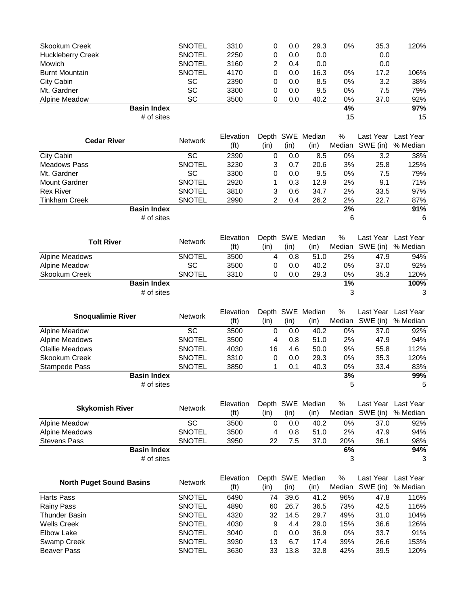| <b>Skookum Creek</b>              | <b>SNOTEL</b>                  | 3310              | 0                | 0.0         | 29.3             | 0%         | 35.3                | 120%                |
|-----------------------------------|--------------------------------|-------------------|------------------|-------------|------------------|------------|---------------------|---------------------|
| <b>Huckleberry Creek</b>          | <b>SNOTEL</b>                  | 2250              | 0                | 0.0         | 0.0              |            | 0.0                 |                     |
| Mowich                            | <b>SNOTEL</b>                  | 3160              | 2                | 0.4         | 0.0              |            | 0.0                 |                     |
| <b>Burnt Mountain</b>             | <b>SNOTEL</b>                  | 4170              | 0                | 0.0         | 16.3             | 0%         | 17.2                | 106%                |
| City Cabin                        | SC                             | 2390              | 0                | 0.0         | 8.5              | 0%         | 3.2                 | 38%                 |
| Mt. Gardner                       | SC                             | 3300              | 0                | 0.0         | 9.5              | 0%         | 7.5                 | 79%                 |
| Alpine Meadow                     | SC                             | 3500              | 0                | 0.0         | 40.2             | 0%         | 37.0                | 92%                 |
| <b>Basin Index</b>                |                                |                   |                  |             |                  | 4%         |                     | 97%                 |
| # of sites                        |                                |                   |                  |             |                  | 15         |                     | 15                  |
|                                   |                                |                   |                  |             |                  |            |                     |                     |
|                                   |                                | Elevation         |                  |             | Depth SWE Median | $\%$       | Last Year Last Year |                     |
| <b>Cedar River</b>                | <b>Network</b>                 | (f <sup>t</sup> ) | (in)             | (in)        | (in)             | Median     | SWE (in)            | % Median            |
| City Cabin                        | SC                             | 2390              | $\boldsymbol{0}$ | 0.0         | 8.5              | 0%         | 3.2                 | 38%                 |
| <b>Meadows Pass</b>               | <b>SNOTEL</b>                  | 3230              | 3                | 0.7         | 20.6             | 3%         | 25.8                | 125%                |
| Mt. Gardner                       | SC                             | 3300              | 0                | 0.0         | 9.5              | 0%         | 7.5                 | 79%                 |
| <b>Mount Gardner</b>              | <b>SNOTEL</b>                  | 2920              | 1                | 0.3         | 12.9             | 2%         | 9.1                 | 71%                 |
| <b>Rex River</b>                  | <b>SNOTEL</b>                  | 3810              | 3                | 0.6         | 34.7             | 2%         | 33.5                | 97%                 |
| <b>Tinkham Creek</b>              | <b>SNOTEL</b>                  | 2990              | $\overline{2}$   | 0.4         | 26.2             | 2%         | 22.7                | 87%                 |
| <b>Basin Index</b>                |                                |                   |                  |             |                  | 2%         |                     | 91%                 |
| # of sites                        |                                |                   |                  |             |                  | 6          |                     | 6                   |
|                                   |                                |                   |                  |             |                  |            |                     |                     |
|                                   |                                | Elevation         |                  |             | Depth SWE Median | $\%$       | Last Year           | Last Year           |
| <b>Tolt River</b>                 | <b>Network</b>                 | (f <sup>t</sup> ) | (in)             | (in)        | (in)             | Median     | SWE (in)            | % Median            |
|                                   | <b>SNOTEL</b>                  |                   |                  |             |                  |            |                     |                     |
| <b>Alpine Meadows</b>             |                                | 3500              | 4                | 0.8         | 51.0             | 2%         | 47.9                | 94%                 |
| <b>Alpine Meadow</b>              | SC                             | 3500              | 0                | 0.0         | 40.2             | 0%         | 37.0                | 92%                 |
| Skookum Creek                     | <b>SNOTEL</b>                  | 3310              | 0                | 0.0         | 29.3             | 0%         | 35.3                | 120%                |
| <b>Basin Index</b>                |                                |                   |                  |             |                  | 1%<br>3    |                     | 100%                |
| # of sites                        |                                |                   |                  |             |                  |            |                     | 3                   |
|                                   |                                |                   |                  |             |                  |            |                     |                     |
|                                   |                                |                   |                  |             |                  |            |                     |                     |
| <b>Snoqualimie River</b>          | <b>Network</b>                 | Elevation         | Depth SWE        |             | Median           | %          | Last Year Last Year |                     |
|                                   |                                | (f <sup>t</sup> ) | (in)             | (in)        | (in)             | Median     | SWE (in)            | % Median            |
| Alpine Meadow                     | SC                             | 3500              | 0                | 0.0         | 40.2             | 0%         | 37.0                | 92%                 |
| <b>Alpine Meadows</b>             | <b>SNOTEL</b>                  | 3500              | 4                | $0.8\,$     | 51.0             | 2%         | 47.9                | 94%                 |
| <b>Olallie Meadows</b>            | <b>SNOTEL</b>                  | 4030              | 16               | 4.6         | 50.0             | 9%         | 55.8                | 112%                |
| Skookum Creek                     | <b>SNOTEL</b>                  | 3310              | 0                | 0.0         | 29.3             | 0%         | 35.3                | 120%                |
| <b>Stampede Pass</b>              | <b>SNOTEL</b>                  | 3850              | 1                | 0.1         | 40.3             | 0%         | 33.4                | 83%                 |
| <b>Basin Index</b>                |                                |                   |                  |             |                  | 3%         |                     | 99%                 |
| # of sites                        |                                |                   |                  |             |                  | 5          |                     | 5                   |
|                                   |                                |                   |                  |             |                  |            |                     |                     |
|                                   |                                | Elevation         |                  |             | Depth SWE Median | $\%$       | Last Year Last Year |                     |
| <b>Skykomish River</b>            | Network                        | (f <sup>t</sup> ) | (in)             | (in)        | (in)             | Median     | SWE (in)            | % Median            |
| Alpine Meadow                     | SC                             | 3500              | 0                | 0.0         | 40.2             | 0%         | 37.0                | 92%                 |
| Alpine Meadows                    | <b>SNOTEL</b>                  | 3500              | 4                | 0.8         | 51.0             | 2%         | 47.9                | 94%                 |
| <b>Stevens Pass</b>               | <b>SNOTEL</b>                  | 3950              | 22               | 7.5         | 37.0             | 20%        | 36.1                | 98%                 |
| <b>Basin Index</b>                |                                |                   |                  |             |                  | 6%         |                     | 94%                 |
| # of sites                        |                                |                   |                  |             |                  | 3          |                     | 3                   |
|                                   |                                |                   |                  |             |                  |            |                     |                     |
|                                   | Network                        | Elevation         |                  |             | Depth SWE Median | $\%$       |                     | Last Year Last Year |
| <b>North Puget Sound Basins</b>   |                                | (f <sup>t</sup> ) | (in)             | (in)        | (in)             | Median     | SWE (in)            | % Median            |
| <b>Harts Pass</b>                 | SNOTEL                         | 6490              | 74               | 39.6        | 41.2             | 96%        | 47.8                | 116%                |
| <b>Rainy Pass</b>                 | <b>SNOTEL</b>                  | 4890              | 60               | 26.7        | 36.5             | 73%        | 42.5                |                     |
| <b>Thunder Basin</b>              | <b>SNOTEL</b>                  | 4320              | 32               | 14.5        | 29.7             | 49%        | 31.0                | 104%                |
| <b>Wells Creek</b>                | <b>SNOTEL</b>                  | 4030              | 9                | 4.4         | 29.0             | 15%        | 36.6                | 116%<br>126%        |
| Elbow Lake                        | <b>SNOTEL</b>                  | 3040              | 0                | 0.0         | 36.9             | 0%         | 33.7                | 91%                 |
| Swamp Creek<br><b>Beaver Pass</b> | <b>SNOTEL</b><br><b>SNOTEL</b> | 3930<br>3630      | 13<br>33         | 6.7<br>13.8 | 17.4<br>32.8     | 39%<br>42% | 26.6<br>39.5        | 153%<br>120%        |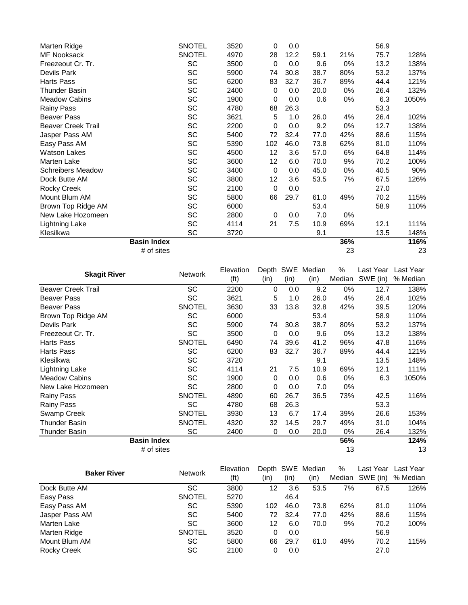| Marten Ridge              |                    | <b>SNOTEL</b> | 3520 | 0        | 0.0  |      |     | 56.9 |       |
|---------------------------|--------------------|---------------|------|----------|------|------|-----|------|-------|
| <b>MF Nooksack</b>        |                    | <b>SNOTEL</b> | 4970 | 28       | 12.2 | 59.1 | 21% | 75.7 | 128%  |
| Freezeout Cr. Tr.         |                    | SC            | 3500 | 0        | 0.0  | 9.6  | 0%  | 13.2 | 138%  |
| Devils Park               |                    | SC            | 5900 | 74       | 30.8 | 38.7 | 80% | 53.2 | 137%  |
| <b>Harts Pass</b>         |                    | <b>SC</b>     | 6200 | 83       | 32.7 | 36.7 | 89% | 44.4 | 121%  |
| Thunder Basin             |                    | SC            | 2400 | $\Omega$ | 0.0  | 20.0 | 0%  | 26.4 | 132%  |
| <b>Meadow Cabins</b>      |                    | SC            | 1900 | 0        | 0.0  | 0.6  | 0%  | 6.3  | 1050% |
| Rainy Pass                |                    | SC            | 4780 | 68       | 26.3 |      |     | 53.3 |       |
| <b>Beaver Pass</b>        |                    | SC            | 3621 | 5        | 1.0  | 26.0 | 4%  | 26.4 | 102%  |
| <b>Beaver Creek Trail</b> |                    | SC            | 2200 | 0        | 0.0  | 9.2  | 0%  | 12.7 | 138%  |
| Jasper Pass AM            |                    | SC            | 5400 | 72       | 32.4 | 77.0 | 42% | 88.6 | 115%  |
| Easy Pass AM              |                    | <b>SC</b>     | 5390 | 102      | 46.0 | 73.8 | 62% | 81.0 | 110%  |
| <b>Watson Lakes</b>       |                    | SC            | 4500 | 12       | 3.6  | 57.0 | 6%  | 64.8 | 114%  |
| Marten Lake               |                    | SC            | 3600 | 12       | 6.0  | 70.0 | 9%  | 70.2 | 100%  |
| <b>Schreibers Meadow</b>  |                    | SC            | 3400 | 0        | 0.0  | 45.0 | 0%  | 40.5 | 90%   |
| Dock Butte AM             |                    | SC            | 3800 | 12       | 3.6  | 53.5 | 7%  | 67.5 | 126%  |
| <b>Rocky Creek</b>        |                    | SC            | 2100 | 0        | 0.0  |      |     | 27.0 |       |
| Mount Blum AM             |                    | SC            | 5800 | 66       | 29.7 | 61.0 | 49% | 70.2 | 115%  |
| Brown Top Ridge AM        |                    | SC            | 6000 |          |      | 53.4 |     | 58.9 | 110%  |
| New Lake Hozomeen         |                    | SC            | 2800 | 0        | 0.0  | 7.0  | 0%  |      |       |
| <b>Lightning Lake</b>     |                    | SC            | 4114 | 21       | 7.5  | 10.9 | 69% | 12.1 | 111%  |
| Klesilkwa                 |                    | SC            | 3720 |          |      | 9.1  |     | 13.5 | 148%  |
|                           | <b>Basin Index</b> |               |      |          |      |      | 36% |      | 116%  |
|                           | # of sites         |               |      |          |      |      | 23  |      | 23    |

|                           |                    | <b>Network</b> | Elevation         | Depth SWE |      | Median | %      | Last Year | Last Year |
|---------------------------|--------------------|----------------|-------------------|-----------|------|--------|--------|-----------|-----------|
| <b>Skagit River</b>       |                    |                | (f <sup>t</sup> ) | (in)      | (in) | (in)   | Median | SWE (in)  | % Median  |
| <b>Beaver Creek Trail</b> |                    | <b>SC</b>      | 2200              | 0         | 0.0  | 9.2    | $0\%$  | 12.7      | 138%      |
| <b>Beaver Pass</b>        |                    | SC             | 3621              | 5         | 1.0  | 26.0   | 4%     | 26.4      | 102%      |
| <b>Beaver Pass</b>        |                    | <b>SNOTEL</b>  | 3630              | 33        | 13.8 | 32.8   | 42%    | 39.5      | 120%      |
| Brown Top Ridge AM        |                    | SC             | 6000              |           |      | 53.4   |        | 58.9      | 110%      |
| Devils Park               |                    | <b>SC</b>      | 5900              | 74        | 30.8 | 38.7   | 80%    | 53.2      | 137%      |
| Freezeout Cr. Tr.         |                    | SC             | 3500              | 0         | 0.0  | 9.6    | 0%     | 13.2      | 138%      |
| <b>Harts Pass</b>         |                    | <b>SNOTEL</b>  | 6490              | 74        | 39.6 | 41.2   | 96%    | 47.8      | 116%      |
| <b>Harts Pass</b>         |                    | SC             | 6200              | 83        | 32.7 | 36.7   | 89%    | 44.4      | 121%      |
| Klesilkwa                 |                    | SC             | 3720              |           |      | 9.1    |        | 13.5      | 148%      |
| <b>Lightning Lake</b>     |                    | SC             | 4114              | 21        | 7.5  | 10.9   | 69%    | 12.1      | 111%      |
| <b>Meadow Cabins</b>      |                    | <b>SC</b>      | 1900              | 0         | 0.0  | 0.6    | 0%     | 6.3       | 1050%     |
| New Lake Hozomeen         |                    | <b>SC</b>      | 2800              | 0         | 0.0  | 7.0    | 0%     |           |           |
| <b>Rainy Pass</b>         |                    | <b>SNOTEL</b>  | 4890              | 60        | 26.7 | 36.5   | 73%    | 42.5      | 116%      |
| <b>Rainy Pass</b>         |                    | <b>SC</b>      | 4780              | 68        | 26.3 |        |        | 53.3      |           |
| Swamp Creek               |                    | <b>SNOTEL</b>  | 3930              | 13        | 6.7  | 17.4   | 39%    | 26.6      | 153%      |
| <b>Thunder Basin</b>      |                    | <b>SNOTEL</b>  | 4320              | 32        | 14.5 | 29.7   | 49%    | 31.0      | 104%      |
| Thunder Basin             |                    | <b>SC</b>      | 2400              | 0         | 0.0  | 20.0   | 0%     | 26.4      | 132%      |
|                           | <b>Basin Index</b> |                |                   |           |      |        | 56%    |           | 124%      |
|                           | # of sites         |                |                   |           |      |        | 13     |           | 13        |

| <b>Baker River</b> | <b>Network</b> | Elevation         |      |      | Depth SWE Median | %      | Last Year | Last Year |
|--------------------|----------------|-------------------|------|------|------------------|--------|-----------|-----------|
|                    |                | (f <sup>t</sup> ) | (in) | (in) | (in)             | Median | SWE (in)  | % Median  |
| Dock Butte AM      | SC             | 3800              | 12   | 3.6  | 53.5             | 7%     | 67.5      | 126%      |
| Easy Pass          | <b>SNOTEL</b>  | 5270              |      | 46.4 |                  |        |           |           |
| Easy Pass AM       | SC             | 5390              | 102  | 46.0 | 73.8             | 62%    | 81.0      | 110%      |
| Jasper Pass AM     | SC             | 5400              | 72   | 32.4 | 77.0             | 42%    | 88.6      | 115%      |
| Marten Lake        | SC             | 3600              | 12   | 6.0  | 70.0             | 9%     | 70.2      | 100%      |
| Marten Ridge       | <b>SNOTEL</b>  | 3520              | 0    | 0.0  |                  |        | 56.9      |           |
| Mount Blum AM      | SC             | 5800              | 66   | 29.7 | 61.0             | 49%    | 70.2      | 115%      |
| <b>Rocky Creek</b> | SC             | 2100              | 0    | 0.0  |                  |        | 27.0      |           |